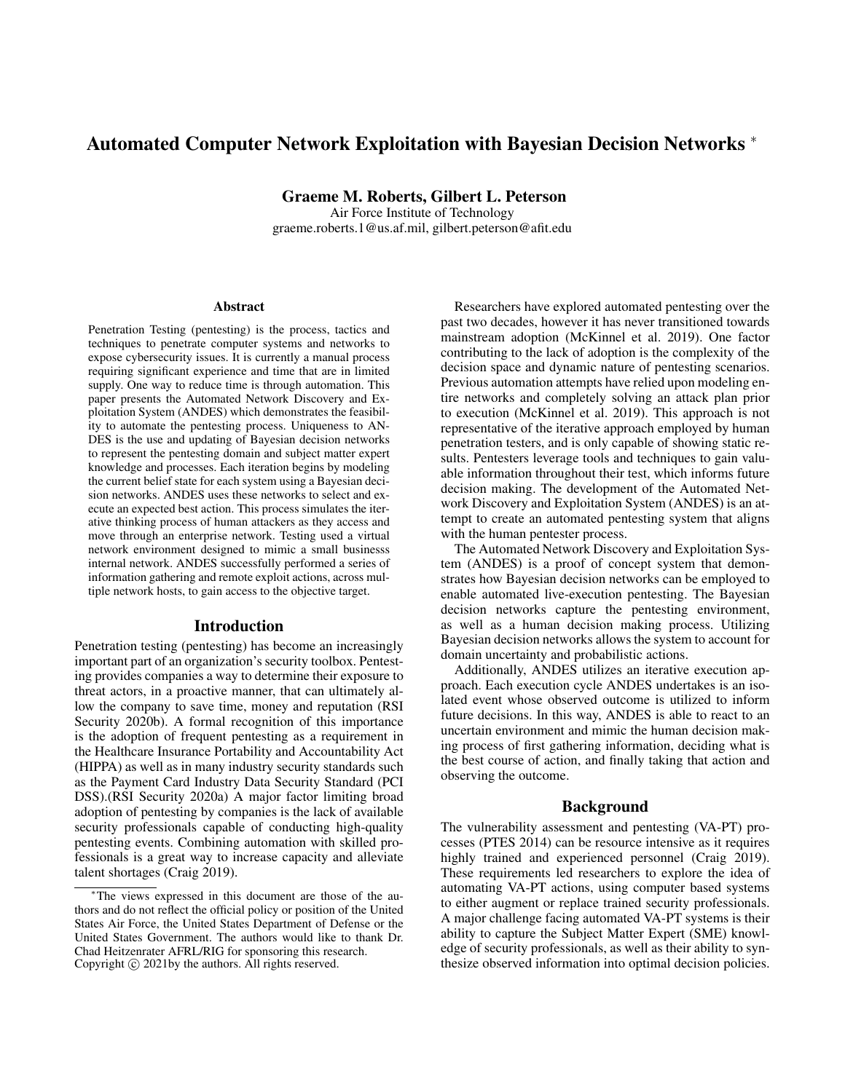# Automated Computer Network Exploitation with Bayesian Decision Networks <sup>∗</sup>

Graeme M. Roberts, Gilbert L. Peterson

Air Force Institute of Technology graeme.roberts.1@us.af.mil, gilbert.peterson@afit.edu

#### **Abstract**

Penetration Testing (pentesting) is the process, tactics and techniques to penetrate computer systems and networks to expose cybersecurity issues. It is currently a manual process requiring significant experience and time that are in limited supply. One way to reduce time is through automation. This paper presents the Automated Network Discovery and Exploitation System (ANDES) which demonstrates the feasibility to automate the pentesting process. Uniqueness to AN-DES is the use and updating of Bayesian decision networks to represent the pentesting domain and subject matter expert knowledge and processes. Each iteration begins by modeling the current belief state for each system using a Bayesian decision networks. ANDES uses these networks to select and execute an expected best action. This process simulates the iterative thinking process of human attackers as they access and move through an enterprise network. Testing used a virtual network environment designed to mimic a small businesss internal network. ANDES successfully performed a series of information gathering and remote exploit actions, across multiple network hosts, to gain access to the objective target.

## Introduction

Penetration testing (pentesting) has become an increasingly important part of an organization's security toolbox. Pentesting provides companies a way to determine their exposure to threat actors, in a proactive manner, that can ultimately allow the company to save time, money and reputation (RSI Security 2020b). A formal recognition of this importance is the adoption of frequent pentesting as a requirement in the Healthcare Insurance Portability and Accountability Act (HIPPA) as well as in many industry security standards such as the Payment Card Industry Data Security Standard (PCI DSS).(RSI Security 2020a) A major factor limiting broad adoption of pentesting by companies is the lack of available security professionals capable of conducting high-quality pentesting events. Combining automation with skilled professionals is a great way to increase capacity and alleviate talent shortages (Craig 2019).

Researchers have explored automated pentesting over the past two decades, however it has never transitioned towards mainstream adoption (McKinnel et al. 2019). One factor contributing to the lack of adoption is the complexity of the decision space and dynamic nature of pentesting scenarios. Previous automation attempts have relied upon modeling entire networks and completely solving an attack plan prior to execution (McKinnel et al. 2019). This approach is not representative of the iterative approach employed by human penetration testers, and is only capable of showing static results. Pentesters leverage tools and techniques to gain valuable information throughout their test, which informs future decision making. The development of the Automated Network Discovery and Exploitation System (ANDES) is an attempt to create an automated pentesting system that aligns with the human pentester process.

The Automated Network Discovery and Exploitation System (ANDES) is a proof of concept system that demonstrates how Bayesian decision networks can be employed to enable automated live-execution pentesting. The Bayesian decision networks capture the pentesting environment, as well as a human decision making process. Utilizing Bayesian decision networks allows the system to account for domain uncertainty and probabilistic actions.

Additionally, ANDES utilizes an iterative execution approach. Each execution cycle ANDES undertakes is an isolated event whose observed outcome is utilized to inform future decisions. In this way, ANDES is able to react to an uncertain environment and mimic the human decision making process of first gathering information, deciding what is the best course of action, and finally taking that action and observing the outcome.

# Background

The vulnerability assessment and pentesting (VA-PT) processes (PTES 2014) can be resource intensive as it requires highly trained and experienced personnel (Craig 2019). These requirements led researchers to explore the idea of automating VA-PT actions, using computer based systems to either augment or replace trained security professionals. A major challenge facing automated VA-PT systems is their ability to capture the Subject Matter Expert (SME) knowledge of security professionals, as well as their ability to synthesize observed information into optimal decision policies.

<sup>∗</sup>The views expressed in this document are those of the authors and do not reflect the official policy or position of the United States Air Force, the United States Department of Defense or the United States Government. The authors would like to thank Dr. Chad Heitzenrater AFRL/RIG for sponsoring this research. Copyright  $\odot$  2021by the authors. All rights reserved.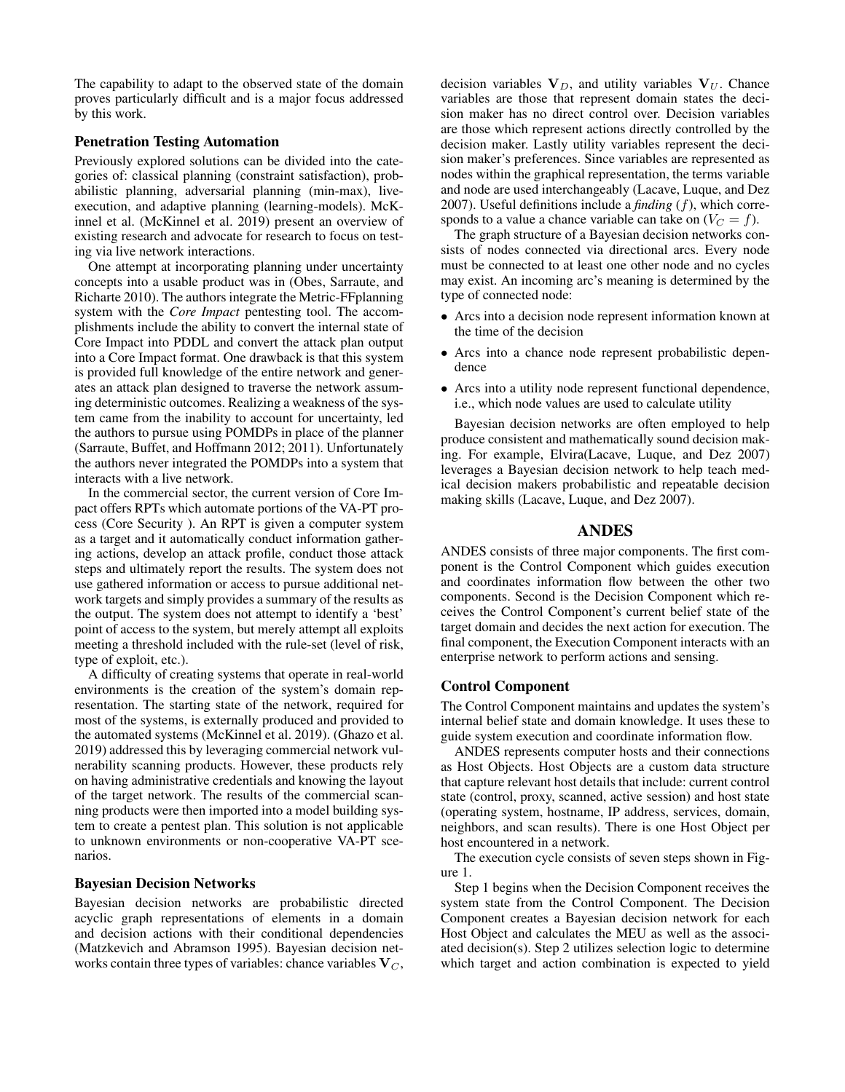The capability to adapt to the observed state of the domain proves particularly difficult and is a major focus addressed by this work.

# Penetration Testing Automation

Previously explored solutions can be divided into the categories of: classical planning (constraint satisfaction), probabilistic planning, adversarial planning (min-max), liveexecution, and adaptive planning (learning-models). McKinnel et al. (McKinnel et al. 2019) present an overview of existing research and advocate for research to focus on testing via live network interactions.

One attempt at incorporating planning under uncertainty concepts into a usable product was in (Obes, Sarraute, and Richarte 2010). The authors integrate the Metric-FFplanning system with the *Core Impact* pentesting tool. The accomplishments include the ability to convert the internal state of Core Impact into PDDL and convert the attack plan output into a Core Impact format. One drawback is that this system is provided full knowledge of the entire network and generates an attack plan designed to traverse the network assuming deterministic outcomes. Realizing a weakness of the system came from the inability to account for uncertainty, led the authors to pursue using POMDPs in place of the planner (Sarraute, Buffet, and Hoffmann 2012; 2011). Unfortunately the authors never integrated the POMDPs into a system that interacts with a live network.

In the commercial sector, the current version of Core Impact offers RPTs which automate portions of the VA-PT process (Core Security ). An RPT is given a computer system as a target and it automatically conduct information gathering actions, develop an attack profile, conduct those attack steps and ultimately report the results. The system does not use gathered information or access to pursue additional network targets and simply provides a summary of the results as the output. The system does not attempt to identify a 'best' point of access to the system, but merely attempt all exploits meeting a threshold included with the rule-set (level of risk, type of exploit, etc.).

A difficulty of creating systems that operate in real-world environments is the creation of the system's domain representation. The starting state of the network, required for most of the systems, is externally produced and provided to the automated systems (McKinnel et al. 2019). (Ghazo et al. 2019) addressed this by leveraging commercial network vulnerability scanning products. However, these products rely on having administrative credentials and knowing the layout of the target network. The results of the commercial scanning products were then imported into a model building system to create a pentest plan. This solution is not applicable to unknown environments or non-cooperative VA-PT scenarios.

#### Bayesian Decision Networks

Bayesian decision networks are probabilistic directed acyclic graph representations of elements in a domain and decision actions with their conditional dependencies (Matzkevich and Abramson 1995). Bayesian decision networks contain three types of variables: chance variables  $V_C$ ,

decision variables  $V_D$ , and utility variables  $V_U$ . Chance variables are those that represent domain states the decision maker has no direct control over. Decision variables are those which represent actions directly controlled by the decision maker. Lastly utility variables represent the decision maker's preferences. Since variables are represented as nodes within the graphical representation, the terms variable and node are used interchangeably (Lacave, Luque, and Dez 2007). Useful definitions include a *finding* (f), which corresponds to a value a chance variable can take on  $(V_C = f)$ .

The graph structure of a Bayesian decision networks consists of nodes connected via directional arcs. Every node must be connected to at least one other node and no cycles may exist. An incoming arc's meaning is determined by the type of connected node:

- Arcs into a decision node represent information known at the time of the decision
- Arcs into a chance node represent probabilistic dependence
- Arcs into a utility node represent functional dependence, i.e., which node values are used to calculate utility

Bayesian decision networks are often employed to help produce consistent and mathematically sound decision making. For example, Elvira(Lacave, Luque, and Dez 2007) leverages a Bayesian decision network to help teach medical decision makers probabilistic and repeatable decision making skills (Lacave, Luque, and Dez 2007).

#### ANDES

ANDES consists of three major components. The first component is the Control Component which guides execution and coordinates information flow between the other two components. Second is the Decision Component which receives the Control Component's current belief state of the target domain and decides the next action for execution. The final component, the Execution Component interacts with an enterprise network to perform actions and sensing.

#### Control Component

The Control Component maintains and updates the system's internal belief state and domain knowledge. It uses these to guide system execution and coordinate information flow.

ANDES represents computer hosts and their connections as Host Objects. Host Objects are a custom data structure that capture relevant host details that include: current control state (control, proxy, scanned, active session) and host state (operating system, hostname, IP address, services, domain, neighbors, and scan results). There is one Host Object per host encountered in a network.

The execution cycle consists of seven steps shown in Figure 1.

Step 1 begins when the Decision Component receives the system state from the Control Component. The Decision Component creates a Bayesian decision network for each Host Object and calculates the MEU as well as the associated decision(s). Step 2 utilizes selection logic to determine which target and action combination is expected to yield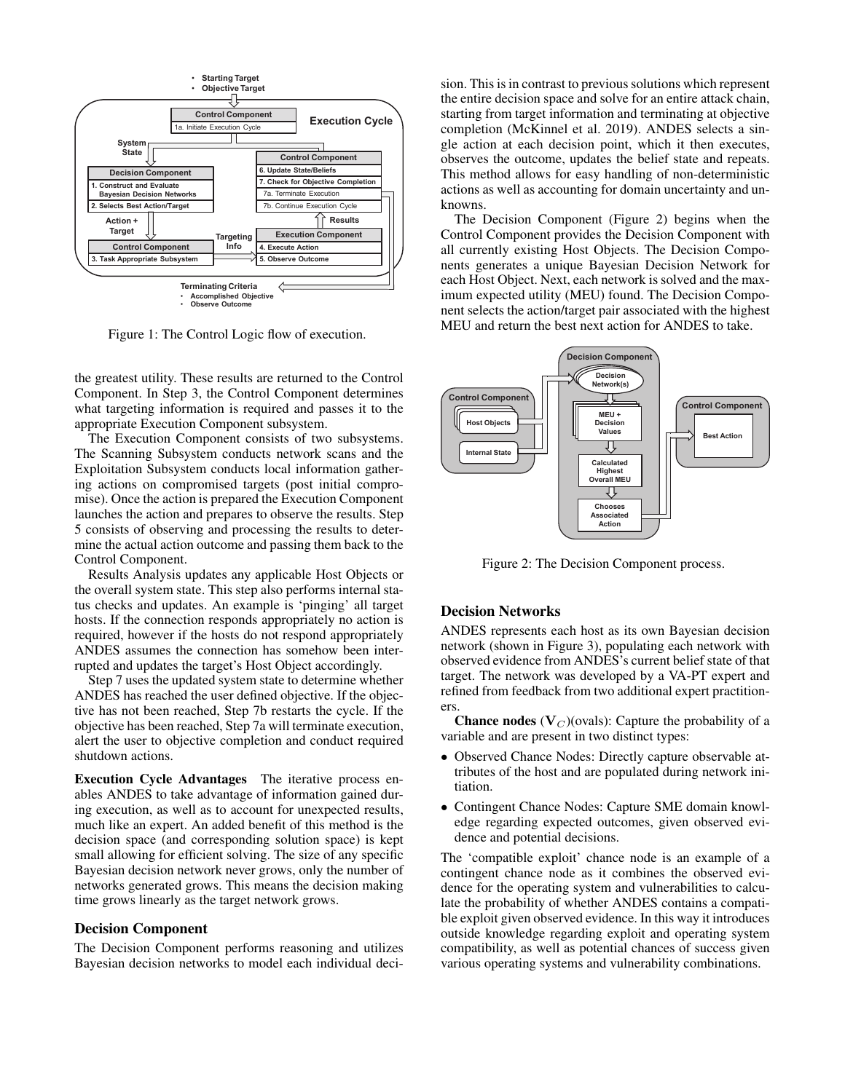

Figure 1: The Control Logic flow of execution.

the greatest utility. These results are returned to the Control Component. In Step 3, the Control Component determines what targeting information is required and passes it to the appropriate Execution Component subsystem.

The Execution Component consists of two subsystems. The Scanning Subsystem conducts network scans and the Exploitation Subsystem conducts local information gathering actions on compromised targets (post initial compromise). Once the action is prepared the Execution Component launches the action and prepares to observe the results. Step 5 consists of observing and processing the results to determine the actual action outcome and passing them back to the Control Component.

Results Analysis updates any applicable Host Objects or the overall system state. This step also performs internal status checks and updates. An example is 'pinging' all target hosts. If the connection responds appropriately no action is required, however if the hosts do not respond appropriately ANDES assumes the connection has somehow been interrupted and updates the target's Host Object accordingly.

Step 7 uses the updated system state to determine whether ANDES has reached the user defined objective. If the objective has not been reached, Step 7b restarts the cycle. If the objective has been reached, Step 7a will terminate execution, alert the user to objective completion and conduct required shutdown actions.

Execution Cycle Advantages The iterative process enables ANDES to take advantage of information gained during execution, as well as to account for unexpected results, much like an expert. An added benefit of this method is the decision space (and corresponding solution space) is kept small allowing for efficient solving. The size of any specific Bayesian decision network never grows, only the number of networks generated grows. This means the decision making time grows linearly as the target network grows.

### Decision Component

The Decision Component performs reasoning and utilizes Bayesian decision networks to model each individual deci-

sion. This is in contrast to previous solutions which represent the entire decision space and solve for an entire attack chain, starting from target information and terminating at objective completion (McKinnel et al. 2019). ANDES selects a single action at each decision point, which it then executes, observes the outcome, updates the belief state and repeats. This method allows for easy handling of non-deterministic actions as well as accounting for domain uncertainty and unknowns.

The Decision Component (Figure 2) begins when the Control Component provides the Decision Component with all currently existing Host Objects. The Decision Components generates a unique Bayesian Decision Network for each Host Object. Next, each network is solved and the maximum expected utility (MEU) found. The Decision Component selects the action/target pair associated with the highest MEU and return the best next action for ANDES to take.



Figure 2: The Decision Component process.

# Decision Networks

ANDES represents each host as its own Bayesian decision network (shown in Figure 3), populating each network with observed evidence from ANDES's current belief state of that target. The network was developed by a VA-PT expert and refined from feedback from two additional expert practitioners.

**Chance nodes** ( $V<sub>C</sub>$ )(ovals): Capture the probability of a variable and are present in two distinct types:

- Observed Chance Nodes: Directly capture observable attributes of the host and are populated during network initiation.
- Contingent Chance Nodes: Capture SME domain knowledge regarding expected outcomes, given observed evidence and potential decisions.

The 'compatible exploit' chance node is an example of a contingent chance node as it combines the observed evidence for the operating system and vulnerabilities to calculate the probability of whether ANDES contains a compatible exploit given observed evidence. In this way it introduces outside knowledge regarding exploit and operating system compatibility, as well as potential chances of success given various operating systems and vulnerability combinations.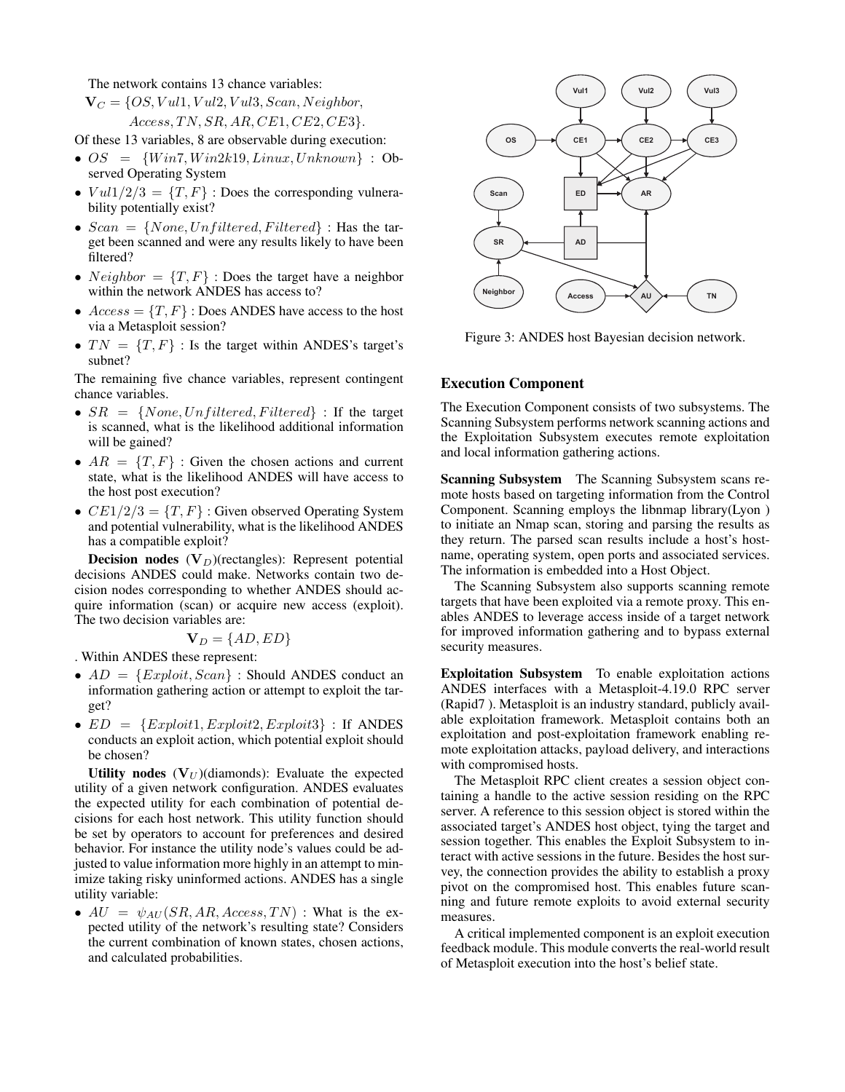The network contains 13 chance variables:

$$
\mathbf{V}_C = \{OS, Vul1, Vul2, Vul3, Scan, Neighbour, \\ Access, TN, SR, AR, CE1, CE2, CE3\}.
$$

Of these 13 variables, 8 are observable during execution:

- $OS = \{Win7, Win2k19, Linux, Unknown\}$ : Observed Operating System
- $V \frac{u}{1/2/3} = \{T, F\}$ : Does the corresponding vulnerability potentially exist?
- $Scan = \{None, Unfiltered, Filtered\}$ : Has the target been scanned and were any results likely to have been filtered?
- $Neighbour = \{T, F\}$ : Does the target have a neighbor within the network ANDES has access to?
- $Access = \{T, F\}$ : Does ANDES have access to the host via a Metasploit session?
- $TN = \{T, F\}$ : Is the target within ANDES's target's subnet?

The remaining five chance variables, represent contingent chance variables.

- $SR = \{None, Unfiltered, Filtered\}$ : If the target is scanned, what is the likelihood additional information will be gained?
- $AR = \{T, F\}$ : Given the chosen actions and current state, what is the likelihood ANDES will have access to the host post execution?
- $CE1/2/3 = {T, F}$ : Given observed Operating System and potential vulnerability, what is the likelihood ANDES has a compatible exploit?

**Decision nodes**  $(V_D)$ (rectangles): Represent potential decisions ANDES could make. Networks contain two decision nodes corresponding to whether ANDES should acquire information (scan) or acquire new access (exploit). The two decision variables are:

$$
\mathbf{V}_D = \{AD, ED\}
$$

. Within ANDES these represent:

- $AD = \{Explot, Scan\}$ : Should ANDES conduct an information gathering action or attempt to exploit the target?
- $ED = \{Explot1, Explot12, Explot13\}$ : If ANDES conducts an exploit action, which potential exploit should be chosen?

Utility nodes  $(V_U)$ (diamonds): Evaluate the expected utility of a given network configuration. ANDES evaluates the expected utility for each combination of potential decisions for each host network. This utility function should be set by operators to account for preferences and desired behavior. For instance the utility node's values could be adjusted to value information more highly in an attempt to minimize taking risky uninformed actions. ANDES has a single utility variable:

•  $AU = \psi_{AU}(SR, AR, Access, TN)$ : What is the expected utility of the network's resulting state? Considers the current combination of known states, chosen actions, and calculated probabilities.



Figure 3: ANDES host Bayesian decision network.

# Execution Component

The Execution Component consists of two subsystems. The Scanning Subsystem performs network scanning actions and the Exploitation Subsystem executes remote exploitation and local information gathering actions.

Scanning Subsystem The Scanning Subsystem scans remote hosts based on targeting information from the Control Component. Scanning employs the libnmap library(Lyon ) to initiate an Nmap scan, storing and parsing the results as they return. The parsed scan results include a host's hostname, operating system, open ports and associated services. The information is embedded into a Host Object.

The Scanning Subsystem also supports scanning remote targets that have been exploited via a remote proxy. This enables ANDES to leverage access inside of a target network for improved information gathering and to bypass external security measures.

Exploitation Subsystem To enable exploitation actions ANDES interfaces with a Metasploit-4.19.0 RPC server (Rapid7 ). Metasploit is an industry standard, publicly available exploitation framework. Metasploit contains both an exploitation and post-exploitation framework enabling remote exploitation attacks, payload delivery, and interactions with compromised hosts.

The Metasploit RPC client creates a session object containing a handle to the active session residing on the RPC server. A reference to this session object is stored within the associated target's ANDES host object, tying the target and session together. This enables the Exploit Subsystem to interact with active sessions in the future. Besides the host survey, the connection provides the ability to establish a proxy pivot on the compromised host. This enables future scanning and future remote exploits to avoid external security measures.

A critical implemented component is an exploit execution feedback module. This module converts the real-world result of Metasploit execution into the host's belief state.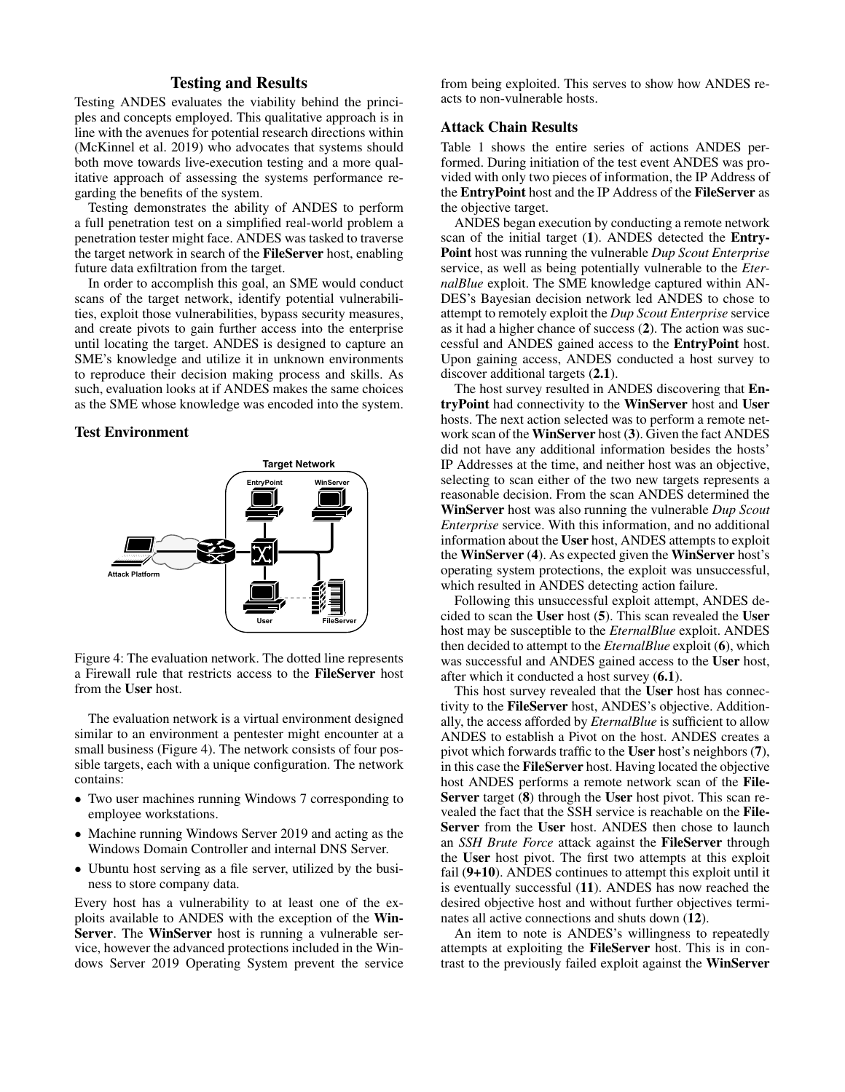# Testing and Results

Testing ANDES evaluates the viability behind the principles and concepts employed. This qualitative approach is in line with the avenues for potential research directions within (McKinnel et al. 2019) who advocates that systems should both move towards live-execution testing and a more qualitative approach of assessing the systems performance regarding the benefits of the system.

Testing demonstrates the ability of ANDES to perform a full penetration test on a simplified real-world problem a penetration tester might face. ANDES was tasked to traverse the target network in search of the FileServer host, enabling future data exfiltration from the target.

In order to accomplish this goal, an SME would conduct scans of the target network, identify potential vulnerabilities, exploit those vulnerabilities, bypass security measures, and create pivots to gain further access into the enterprise until locating the target. ANDES is designed to capture an SME's knowledge and utilize it in unknown environments to reproduce their decision making process and skills. As such, evaluation looks at if ANDES makes the same choices as the SME whose knowledge was encoded into the system.

#### Test Environment



Figure 4: The evaluation network. The dotted line represents a Firewall rule that restricts access to the FileServer host from the User host.

The evaluation network is a virtual environment designed similar to an environment a pentester might encounter at a small business (Figure 4). The network consists of four possible targets, each with a unique configuration. The network contains:

- Two user machines running Windows 7 corresponding to employee workstations.
- Machine running Windows Server 2019 and acting as the Windows Domain Controller and internal DNS Server.
- Ubuntu host serving as a file server, utilized by the business to store company data.

Every host has a vulnerability to at least one of the exploits available to ANDES with the exception of the Win-Server. The WinServer host is running a vulnerable service, however the advanced protections included in the Windows Server 2019 Operating System prevent the service

from being exploited. This serves to show how ANDES reacts to non-vulnerable hosts.

# Attack Chain Results

Table 1 shows the entire series of actions ANDES performed. During initiation of the test event ANDES was provided with only two pieces of information, the IP Address of the EntryPoint host and the IP Address of the FileServer as the objective target.

ANDES began execution by conducting a remote network scan of the initial target (1). ANDES detected the Entry-Point host was running the vulnerable *Dup Scout Enterprise* service, as well as being potentially vulnerable to the *EternalBlue* exploit. The SME knowledge captured within AN-DES's Bayesian decision network led ANDES to chose to attempt to remotely exploit the *Dup Scout Enterprise* service as it had a higher chance of success (2). The action was successful and ANDES gained access to the EntryPoint host. Upon gaining access, ANDES conducted a host survey to discover additional targets (2.1).

The host survey resulted in ANDES discovering that EntryPoint had connectivity to the WinServer host and User hosts. The next action selected was to perform a remote network scan of the WinServer host (3). Given the fact ANDES did not have any additional information besides the hosts' IP Addresses at the time, and neither host was an objective, selecting to scan either of the two new targets represents a reasonable decision. From the scan ANDES determined the WinServer host was also running the vulnerable *Dup Scout Enterprise* service. With this information, and no additional information about the User host, ANDES attempts to exploit the WinServer (4). As expected given the WinServer host's operating system protections, the exploit was unsuccessful, which resulted in ANDES detecting action failure.

Following this unsuccessful exploit attempt, ANDES decided to scan the User host (5). This scan revealed the User host may be susceptible to the *EternalBlue* exploit. ANDES then decided to attempt to the *EternalBlue* exploit (6), which was successful and ANDES gained access to the User host, after which it conducted a host survey (6.1).

This host survey revealed that the User host has connectivity to the FileServer host, ANDES's objective. Additionally, the access afforded by *EternalBlue* is sufficient to allow ANDES to establish a Pivot on the host. ANDES creates a pivot which forwards traffic to the User host's neighbors (7), in this case the FileServer host. Having located the objective host ANDES performs a remote network scan of the File-Server target (8) through the User host pivot. This scan revealed the fact that the SSH service is reachable on the File-Server from the User host. ANDES then chose to launch an *SSH Brute Force* attack against the FileServer through the User host pivot. The first two attempts at this exploit fail (9+10). ANDES continues to attempt this exploit until it is eventually successful (11). ANDES has now reached the desired objective host and without further objectives terminates all active connections and shuts down (12).

An item to note is ANDES's willingness to repeatedly attempts at exploiting the FileServer host. This is in contrast to the previously failed exploit against the WinServer